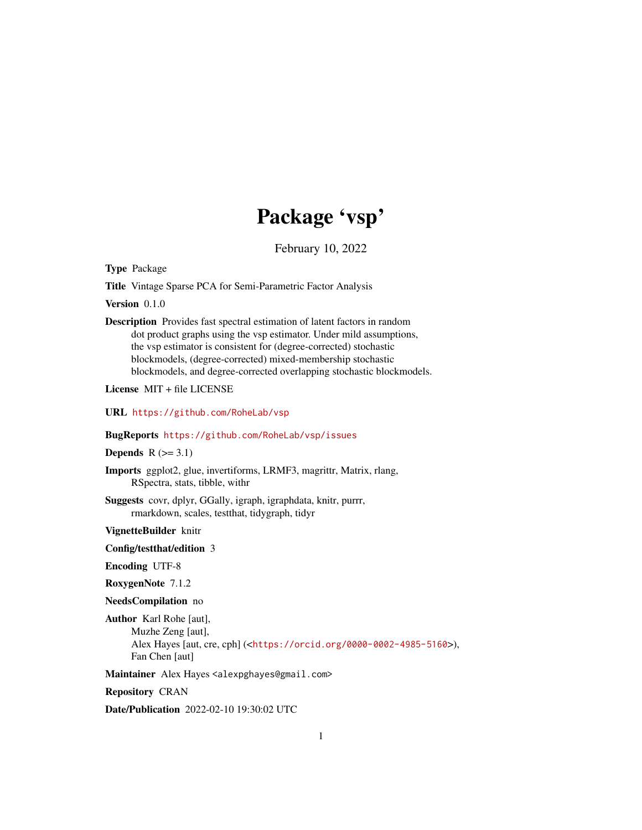# Package 'vsp'

February 10, 2022

<span id="page-0-0"></span>Type Package

Title Vintage Sparse PCA for Semi-Parametric Factor Analysis

Version 0.1.0

Description Provides fast spectral estimation of latent factors in random dot product graphs using the vsp estimator. Under mild assumptions, the vsp estimator is consistent for (degree-corrected) stochastic blockmodels, (degree-corrected) mixed-membership stochastic blockmodels, and degree-corrected overlapping stochastic blockmodels.

License MIT + file LICENSE

URL <https://github.com/RoheLab/vsp>

### BugReports <https://github.com/RoheLab/vsp/issues>

Depends  $R$  ( $>= 3.1$ )

Imports ggplot2, glue, invertiforms, LRMF3, magrittr, Matrix, rlang, RSpectra, stats, tibble, withr

Suggests covr, dplyr, GGally, igraph, igraphdata, knitr, purrr, rmarkdown, scales, testthat, tidygraph, tidyr

VignetteBuilder knitr

Config/testthat/edition 3

Encoding UTF-8

RoxygenNote 7.1.2

NeedsCompilation no

Author Karl Rohe [aut], Muzhe Zeng [aut], Alex Hayes [aut, cre, cph] (<<https://orcid.org/0000-0002-4985-5160>>), Fan Chen [aut]

Maintainer Alex Hayes <alexpghayes@gmail.com>

Repository CRAN

Date/Publication 2022-02-10 19:30:02 UTC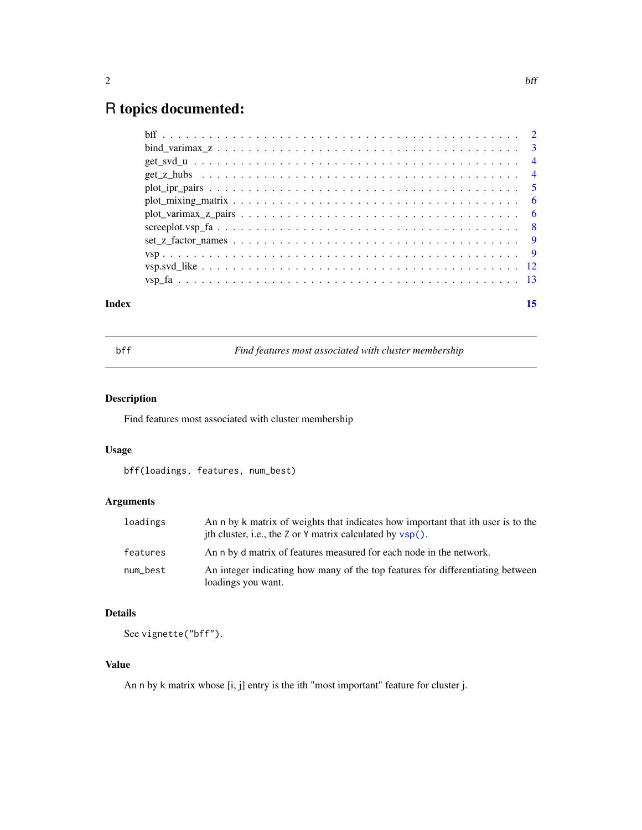## <span id="page-1-0"></span>R topics documented:

### **Index** [15](#page-14-0)

bff *Find features most associated with cluster membership*

### Description

Find features most associated with cluster membership

### Usage

bff(loadings, features, num\_best)

### Arguments

| loadings | An n by k matrix of weights that indicates how important that ith user is to the<br>ith cluster, i.e., the Z or Y matrix calculated by vsp(). |
|----------|-----------------------------------------------------------------------------------------------------------------------------------------------|
| features | An n by d matrix of features measured for each node in the network.                                                                           |
| num_best | An integer indicating how many of the top features for differentiating between<br>loadings you want.                                          |

### Details

See vignette("bff").

### Value

An n by k matrix whose [i, j] entry is the ith "most important" feature for cluster j.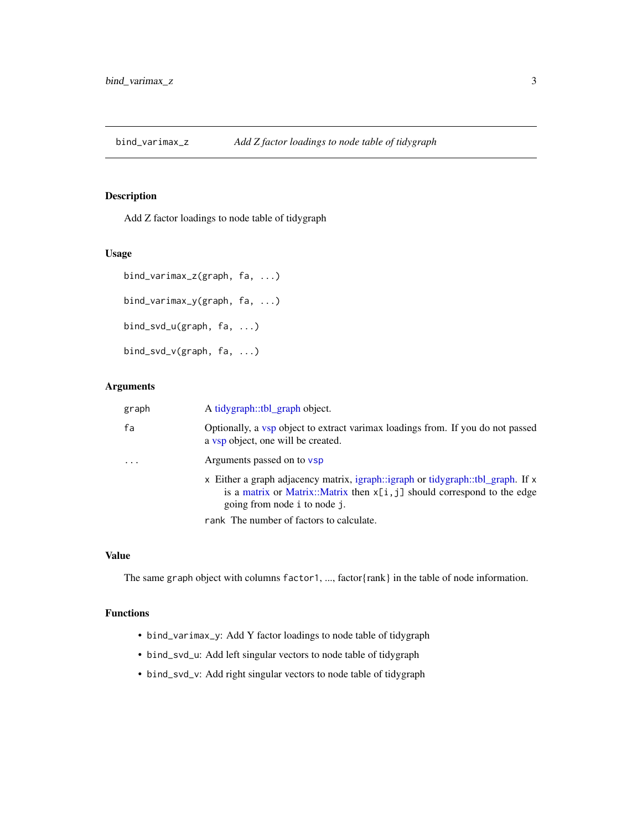<span id="page-2-0"></span>bind\_varimax\_z *Add Z factor loadings to node table of tidygraph*

### Description

Add Z factor loadings to node table of tidygraph

### Usage

```
bind_varimax_z(graph, fa, ...)
bind_varimax_y(graph, fa, ...)
bind_svd_u(graph, fa, ...)
bind_svd_v(graph, fa, ...)
```
### Arguments

| graph | A tidygraph::tbl_graph object.                                                                                                                                                                |
|-------|-----------------------------------------------------------------------------------------------------------------------------------------------------------------------------------------------|
| fa    | Optionally, a vsp object to extract varimax loadings from. If you do not passed<br>a vsp object, one will be created.                                                                         |
| .     | Arguments passed on to vsp                                                                                                                                                                    |
|       | x Either a graph adjacency matrix, igraph::igraph or tidygraph::tbl_graph. If x<br>is a matrix or Matrix::Matrix then $x[i, j]$ should correspond to the edge<br>going from node i to node j. |
|       | rank The number of factors to calculate.                                                                                                                                                      |

### Value

The same graph object with columns factor1, ..., factor{rank} in the table of node information.

### Functions

- bind\_varimax\_y: Add Y factor loadings to node table of tidygraph
- bind\_svd\_u: Add left singular vectors to node table of tidygraph
- bind\_svd\_v: Add right singular vectors to node table of tidygraph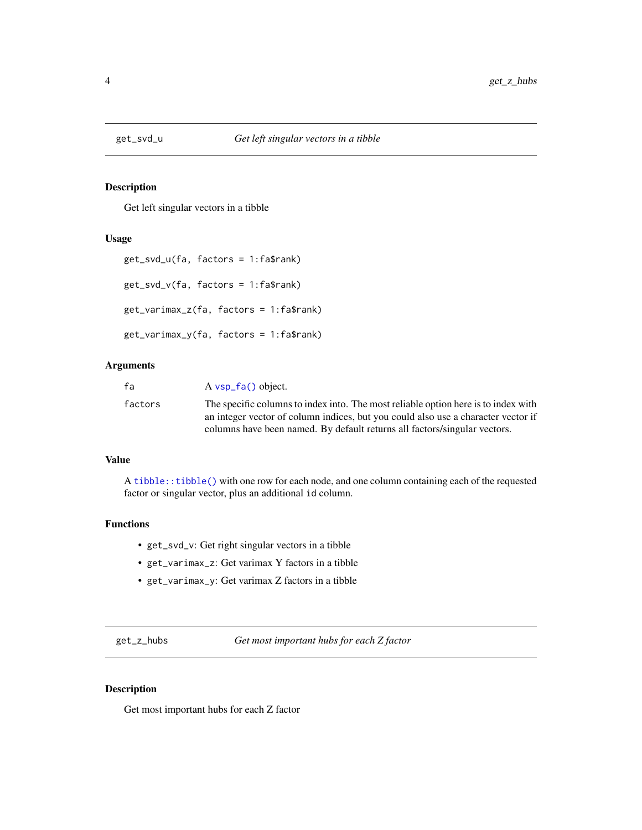<span id="page-3-0"></span>

### Description

Get left singular vectors in a tibble

#### Usage

```
get_svd_u(fa, factors = 1:fa$rank)
get_svd_v(fa, factors = 1:fa$rank)
get_varimax_z(fa, factors = 1:fa$rank)
get_varimax_y(fa, factors = 1:fa$rank)
```
### Arguments

| fa      | $A \text{ vsp}_f(a)$ object.                                                       |
|---------|------------------------------------------------------------------------------------|
| factors | The specific columns to index into. The most reliable option here is to index with |
|         | an integer vector of column indices, but you could also use a character vector if  |
|         | columns have been named. By default returns all factors/singular vectors.          |

### Value

A [tibble::tibble\(\)](#page-0-0) with one row for each node, and one column containing each of the requested factor or singular vector, plus an additional id column.

### Functions

- get\_svd\_v: Get right singular vectors in a tibble
- get\_varimax\_z: Get varimax Y factors in a tibble
- get\_varimax\_y: Get varimax Z factors in a tibble

get\_z\_hubs *Get most important hubs for each Z factor*

#### Description

Get most important hubs for each Z factor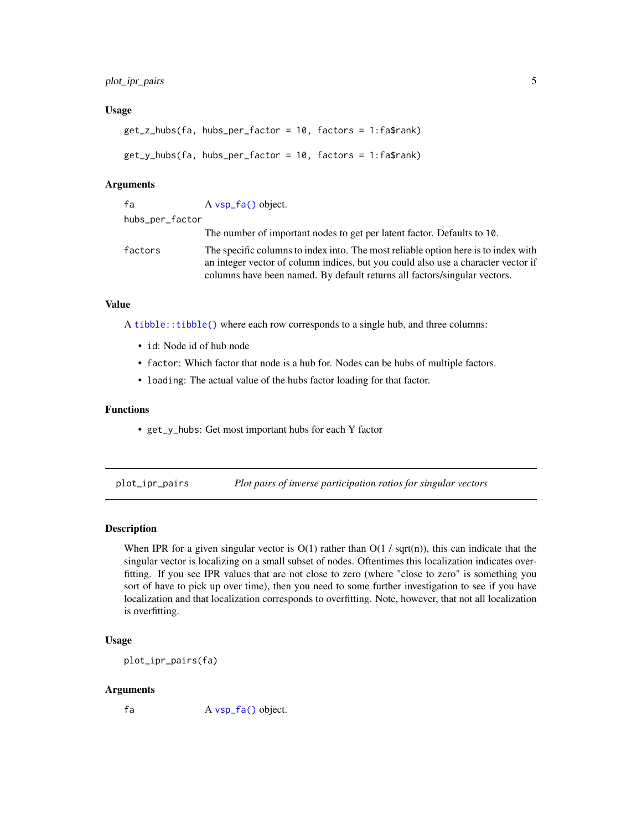### <span id="page-4-0"></span>Usage

```
get_z_hubs(fa, hubs_per_factor = 10, factors = 1:fa$rank)
get_y_hubs(fa, hubs_per_factor = 10, factors = 1:fa$rank)
```
#### Arguments

| fa              | $A \text{ vsp}_f(a)$ object.                                                                                                                                                                                                                         |
|-----------------|------------------------------------------------------------------------------------------------------------------------------------------------------------------------------------------------------------------------------------------------------|
| hubs_per_factor |                                                                                                                                                                                                                                                      |
|                 | The number of important nodes to get per latent factor. Defaults to 10.                                                                                                                                                                              |
| factors         | The specific columns to index into. The most reliable option here is to index with<br>an integer vector of column indices, but you could also use a character vector if<br>columns have been named. By default returns all factors/singular vectors. |

### Value

A [tibble::tibble\(\)](#page-0-0) where each row corresponds to a single hub, and three columns:

- id: Node id of hub node
- factor: Which factor that node is a hub for. Nodes can be hubs of multiple factors.
- loading: The actual value of the hubs factor loading for that factor.

### Functions

• get\_y\_hubs: Get most important hubs for each Y factor

plot\_ipr\_pairs *Plot pairs of inverse participation ratios for singular vectors*

#### Description

When IPR for a given singular vector is  $O(1)$  rather than  $O(1 / \sqrt{sqrt}$ , this can indicate that the singular vector is localizing on a small subset of nodes. Oftentimes this localization indicates overfitting. If you see IPR values that are not close to zero (where "close to zero" is something you sort of have to pick up over time), then you need to some further investigation to see if you have localization and that localization corresponds to overfitting. Note, however, that not all localization is overfitting.

### Usage

plot\_ipr\_pairs(fa)

#### Arguments

fa A [vsp\\_fa\(\)](#page-12-1) object.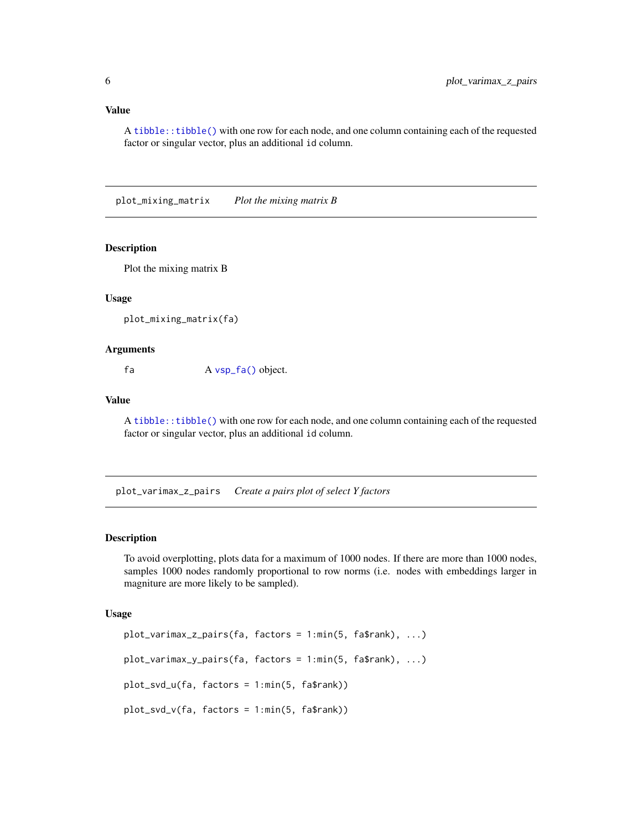<span id="page-5-0"></span>A [tibble::tibble\(\)](#page-0-0) with one row for each node, and one column containing each of the requested factor or singular vector, plus an additional id column.

plot\_mixing\_matrix *Plot the mixing matrix B*

#### Description

Plot the mixing matrix B

#### Usage

plot\_mixing\_matrix(fa)

#### Arguments

fa A [vsp\\_fa\(\)](#page-12-1) object.

#### Value

A [tibble::tibble\(\)](#page-0-0) with one row for each node, and one column containing each of the requested factor or singular vector, plus an additional id column.

plot\_varimax\_z\_pairs *Create a pairs plot of select Y factors*

### Description

To avoid overplotting, plots data for a maximum of 1000 nodes. If there are more than 1000 nodes, samples 1000 nodes randomly proportional to row norms (i.e. nodes with embeddings larger in magniture are more likely to be sampled).

#### Usage

```
plot_varimax_z_pairs(fa, factors = 1:min(5, fa$rank), ...)
plot_varimax_y_pairs(fa, factors = 1:min(5, fa$rank), ...)
plot_svd_u(fa, factors = 1:min(5, fa$rank))
plot_svd_v(fa, factors = 1:min(5, fa$rank))
```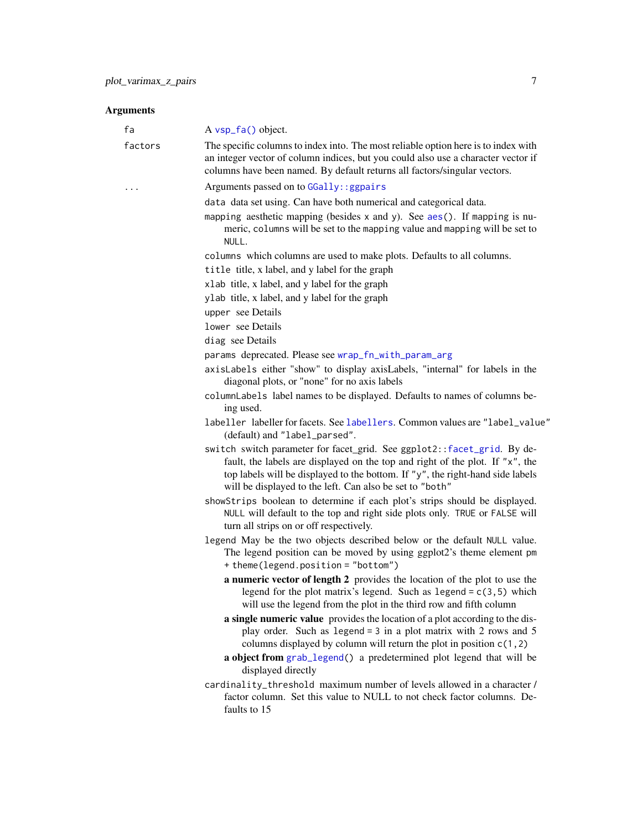### <span id="page-6-0"></span>Arguments

| fa      | A vsp_fa() object.                                                                                                                                                                                                                                                                                      |
|---------|---------------------------------------------------------------------------------------------------------------------------------------------------------------------------------------------------------------------------------------------------------------------------------------------------------|
| factors | The specific columns to index into. The most reliable option here is to index with<br>an integer vector of column indices, but you could also use a character vector if<br>columns have been named. By default returns all factors/singular vectors.                                                    |
| .       | Arguments passed on to GGally: : ggpairs                                                                                                                                                                                                                                                                |
|         | data data set using. Can have both numerical and categorical data.<br>mapping aesthetic mapping (besides $x$ and $y$ ). See $aes()$ . If mapping is nu-<br>meric, columns will be set to the mapping value and mapping will be set to<br>NULL.                                                          |
|         | columns which columns are used to make plots. Defaults to all columns.                                                                                                                                                                                                                                  |
|         | title title, x label, and y label for the graph                                                                                                                                                                                                                                                         |
|         | xlab title, x label, and y label for the graph                                                                                                                                                                                                                                                          |
|         | ylab title, x label, and y label for the graph                                                                                                                                                                                                                                                          |
|         | upper see Details                                                                                                                                                                                                                                                                                       |
|         | lower see Details                                                                                                                                                                                                                                                                                       |
|         | diag see Details                                                                                                                                                                                                                                                                                        |
|         | params deprecated. Please see wrap_fn_with_param_arg                                                                                                                                                                                                                                                    |
|         | axisLabels either "show" to display axisLabels, "internal" for labels in the<br>diagonal plots, or "none" for no axis labels                                                                                                                                                                            |
|         | columnLabels label names to be displayed. Defaults to names of columns be-<br>ing used.                                                                                                                                                                                                                 |
|         | labeller labeller for facets. See labellers. Common values are "label_value"<br>(default) and "label_parsed".                                                                                                                                                                                           |
|         | switch switch parameter for facet_grid. See ggplot2:: facet_grid. By de-<br>fault, the labels are displayed on the top and right of the plot. If "x", the<br>top labels will be displayed to the bottom. If "y", the right-hand side labels<br>will be displayed to the left. Can also be set to "both" |
|         | showStrips boolean to determine if each plot's strips should be displayed.<br>NULL will default to the top and right side plots only. TRUE or FALSE will<br>turn all strips on or off respectively.                                                                                                     |
|         | legend May be the two objects described below or the default NULL value.<br>The legend position can be moved by using ggplot2's theme element pm<br>+ theme(legend.position = "bottom")                                                                                                                 |
|         | a numeric vector of length 2 provides the location of the plot to use the<br>legend for the plot matrix's legend. Such as $legend = c(3, 5)$ which<br>will use the legend from the plot in the third row and fifth column                                                                               |
|         | a single numeric value provides the location of a plot according to the dis-<br>play order. Such as legend = $3$ in a plot matrix with 2 rows and $5$<br>columns displayed by column will return the plot in position $c(1, 2)$<br>a object from grab_legend() a predetermined plot legend that will be |
|         | displayed directly                                                                                                                                                                                                                                                                                      |
|         | cardinality_threshold maximum number of levels allowed in a character /<br>factor column. Set this value to NULL to not check factor columns. De-<br>faults to 15                                                                                                                                       |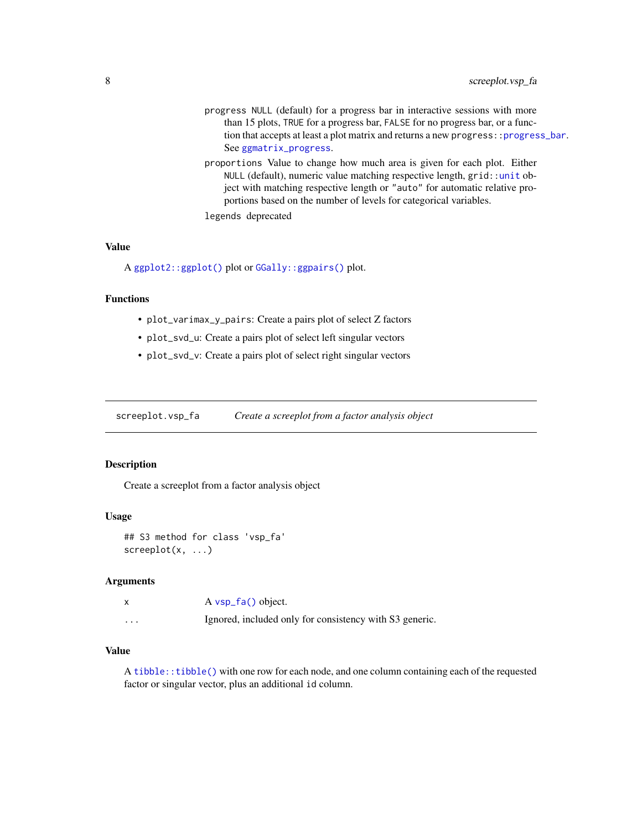- <span id="page-7-0"></span>progress NULL (default) for a progress bar in interactive sessions with more than 15 plots, TRUE for a progress bar, FALSE for no progress bar, or a function that accepts at least a plot matrix and returns a new progress:: progress\_bar. See [ggmatrix\\_progress](#page-0-0).
- proportions Value to change how much area is given for each plot. Either NULL (default), numeric value matching respective length, grid:[:unit](#page-0-0) object with matching respective length or "auto" for automatic relative proportions based on the number of levels for categorical variables.

```
legends deprecated
```
### Value

A [ggplot2::ggplot\(\)](#page-0-0) plot or [GGally::ggpairs\(\)](#page-0-0) plot.

### Functions

- plot\_varimax\_y\_pairs: Create a pairs plot of select Z factors
- plot\_svd\_u: Create a pairs plot of select left singular vectors
- plot\_svd\_v: Create a pairs plot of select right singular vectors

screeplot.vsp\_fa *Create a screeplot from a factor analysis object*

#### Description

Create a screeplot from a factor analysis object

#### Usage

## S3 method for class 'vsp\_fa' screeplot(x, ...)

#### Arguments

|   | $A \text{ vsp}_f(a)$ object.                            |
|---|---------------------------------------------------------|
| . | Ignored, included only for consistency with S3 generic. |

### Value

A [tibble::tibble\(\)](#page-0-0) with one row for each node, and one column containing each of the requested factor or singular vector, plus an additional id column.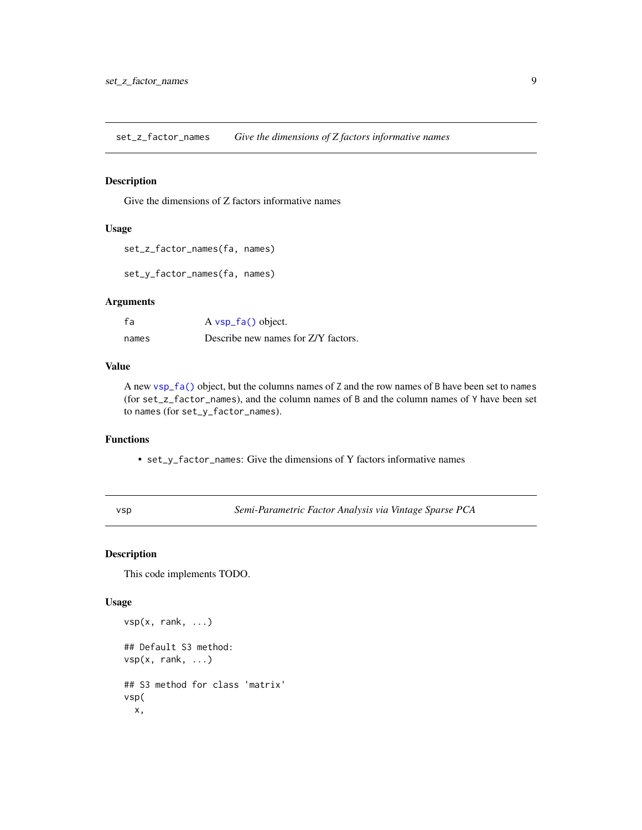<span id="page-8-0"></span>set\_z\_factor\_names *Give the dimensions of Z factors informative names*

### Description

Give the dimensions of Z factors informative names

#### Usage

```
set_z_factor_names(fa, names)
```
set\_y\_factor\_names(fa, names)

### Arguments

| fa    | A vsp_fa() object.                  |
|-------|-------------------------------------|
| names | Describe new names for Z/Y factors. |

### Value

A new [vsp\\_fa\(\)](#page-12-1) object, but the columns names of Z and the row names of B have been set to names (for set\_z\_factor\_names), and the column names of B and the column names of Y have been set to names (for set\_y\_factor\_names).

### Functions

• set\_y\_factor\_names: Give the dimensions of Y factors informative names

<span id="page-8-1"></span>vsp *Semi-Parametric Factor Analysis via Vintage Sparse PCA*

### Description

This code implements TODO.

### Usage

```
vsp(x, rank, ...)
## Default S3 method:
vsp(x, rank, ...)
## S3 method for class 'matrix'
vsp(
  x,
```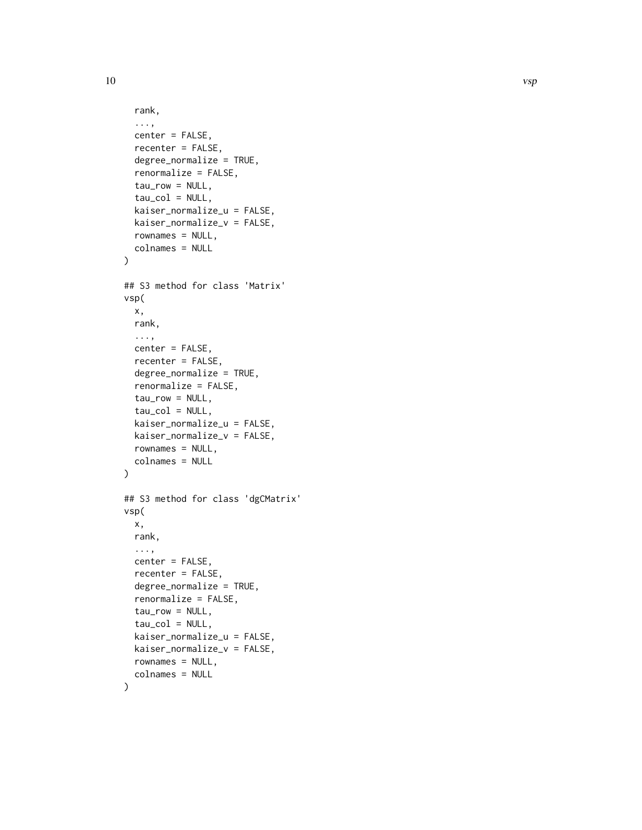```
rank,
  ...,
  center = FALSE,
  recenter = FALSE,
  degree_normalize = TRUE,
  renormalize = FALSE,
  tau_{row} = NULL,tau_col = NULL,kaiser_normalize_u = FALSE,
  kaiser_normalize_v = FALSE,
  rownames = NULL,
  colnames = NULL
\mathcal{L}## S3 method for class 'Matrix'
vsp(
 x,
 rank,
  ...,
  center = FALSE,
  recenter = FALSE,
  degree_normalize = TRUE,
  renormalize = FALSE,
  tau_{row} = NULL,tau_col = NULL,kaiser_normalize_u = FALSE,
  kaiser_normalize_v = FALSE,
  rownames = NULL,
  colnames = NULL
)
## S3 method for class 'dgCMatrix'
vsp(
 x,
  rank,
  ...,
  center = FALSE,
  recenter = FALSE,
  degree_normalize = TRUE,
  renormalize = FALSE,
  tau_{row} = NULL,tau_{col} = NULL,
  kaiser_normalize_u = FALSE,
 kaiser_normalize_v = FALSE,
  rownames = NULL,
  colnames = NULL
```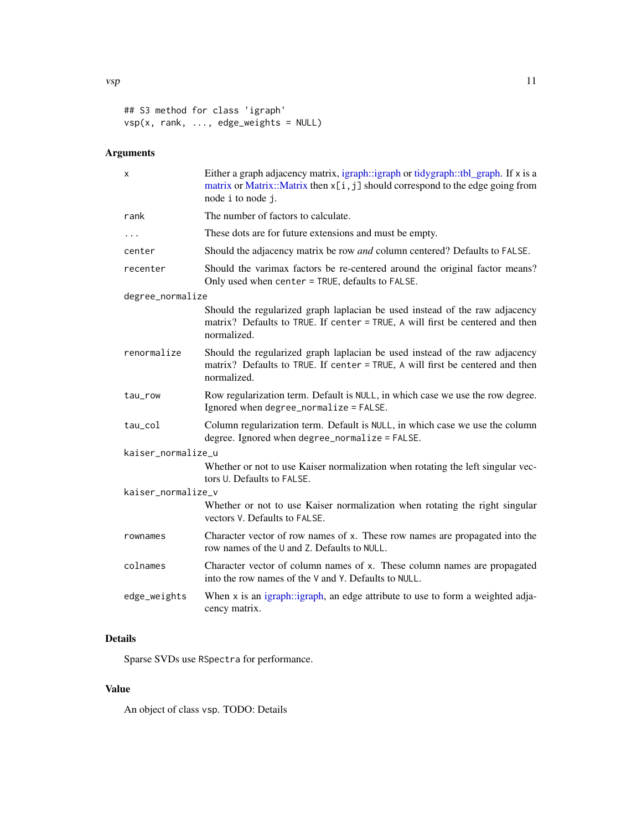## S3 method for class 'igraph' vsp(x, rank, ..., edge\_weights = NULL)

### Arguments

| X                  | Either a graph adjacency matrix, igraph::igraph or tidygraph::tbl_graph. If x is a<br>matrix or Matrix::Matrix then x[i, j] should correspond to the edge going from<br>node i to node j. |
|--------------------|-------------------------------------------------------------------------------------------------------------------------------------------------------------------------------------------|
| rank               | The number of factors to calculate.                                                                                                                                                       |
| .                  | These dots are for future extensions and must be empty.                                                                                                                                   |
| center             | Should the adjacency matrix be row and column centered? Defaults to FALSE.                                                                                                                |
| recenter           | Should the varimax factors be re-centered around the original factor means?<br>Only used when center = TRUE, defaults to FALSE.                                                           |
| degree_normalize   |                                                                                                                                                                                           |
|                    | Should the regularized graph laplacian be used instead of the raw adjacency<br>matrix? Defaults to TRUE. If center = TRUE, A will first be centered and then<br>normalized.               |
| renormalize        | Should the regularized graph laplacian be used instead of the raw adjacency<br>matrix? Defaults to TRUE. If center = TRUE, A will first be centered and then<br>normalized.               |
| tau_row            | Row regularization term. Default is NULL, in which case we use the row degree.<br>Ignored when degree_normalize = FALSE.                                                                  |
| tau_col            | Column regularization term. Default is NULL, in which case we use the column<br>degree. Ignored when degree_normalize = FALSE.                                                            |
| kaiser_normalize_u |                                                                                                                                                                                           |
|                    | Whether or not to use Kaiser normalization when rotating the left singular vec-<br>tors U. Defaults to FALSE.                                                                             |
| kaiser_normalize_v |                                                                                                                                                                                           |
|                    | Whether or not to use Kaiser normalization when rotating the right singular<br>vectors V. Defaults to FALSE.                                                                              |
| rownames           | Character vector of row names of x. These row names are propagated into the<br>row names of the U and Z. Defaults to NULL.                                                                |
| colnames           | Character vector of column names of x. These column names are propagated<br>into the row names of the V and Y. Defaults to NULL.                                                          |
| edge_weights       | When $x$ is an igraph: igraph, an edge attribute to use to form a weighted adja-<br>cency matrix.                                                                                         |

### Details

Sparse SVDs use RSpectra for performance.

### Value

An object of class vsp. TODO: Details

<span id="page-10-0"></span> $\mathbf{v}$ sp 11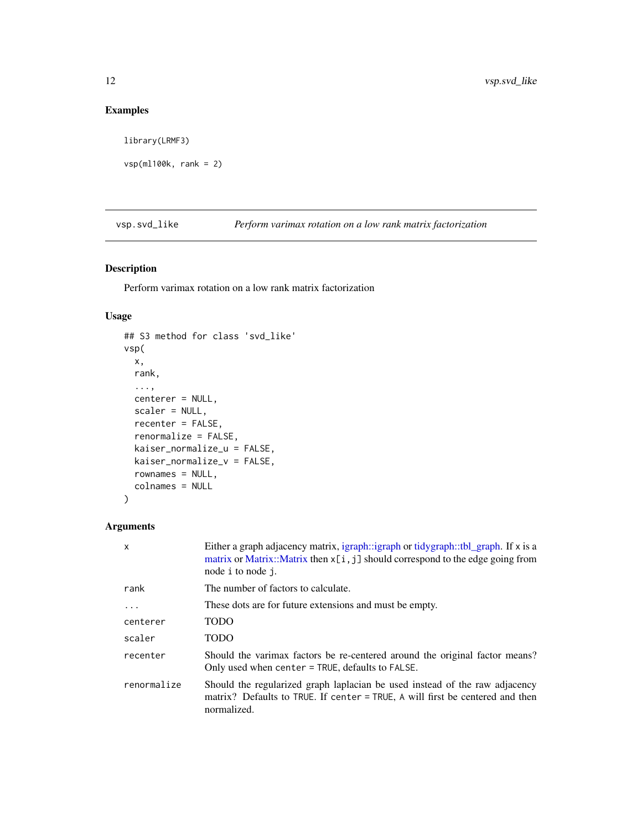### Examples

library(LRMF3)

vsp(ml100k, rank = 2)

vsp.svd\_like *Perform varimax rotation on a low rank matrix factorization*

### Description

Perform varimax rotation on a low rank matrix factorization

### Usage

```
## S3 method for class 'svd_like'
vsp(
 x,
 rank,
  ...,
 centerer = NULL,
  scaler = NULL,
  recenter = FALSE,
  renormalize = FALSE,
  kaiser_normalize_u = FALSE,
 kaiser_normalize_v = FALSE,
  rownames = NULL,
  colnames = NULL
)
```
### Arguments

| $\mathsf{x}$ | Either a graph adjacency matrix, igraph::igraph or tidygraph::tbl_graph. If x is a<br>matrix or Matrix::Matrix then $x[i, j]$ should correspond to the edge going from<br>node i to node <i>i</i> . |
|--------------|-----------------------------------------------------------------------------------------------------------------------------------------------------------------------------------------------------|
| rank         | The number of factors to calculate.                                                                                                                                                                 |
| .            | These dots are for future extensions and must be empty.                                                                                                                                             |
| centerer     | <b>TODO</b>                                                                                                                                                                                         |
| scaler       | <b>TODO</b>                                                                                                                                                                                         |
| recenter     | Should the varimax factors be re-centered around the original factor means?<br>Only used when center = TRUE, defaults to FALSE.                                                                     |
| renormalize  | Should the regularized graph laplacian be used instead of the raw adjacency<br>matrix? Defaults to TRUE. If center = TRUE, A will first be centered and then<br>normalized.                         |

<span id="page-11-0"></span>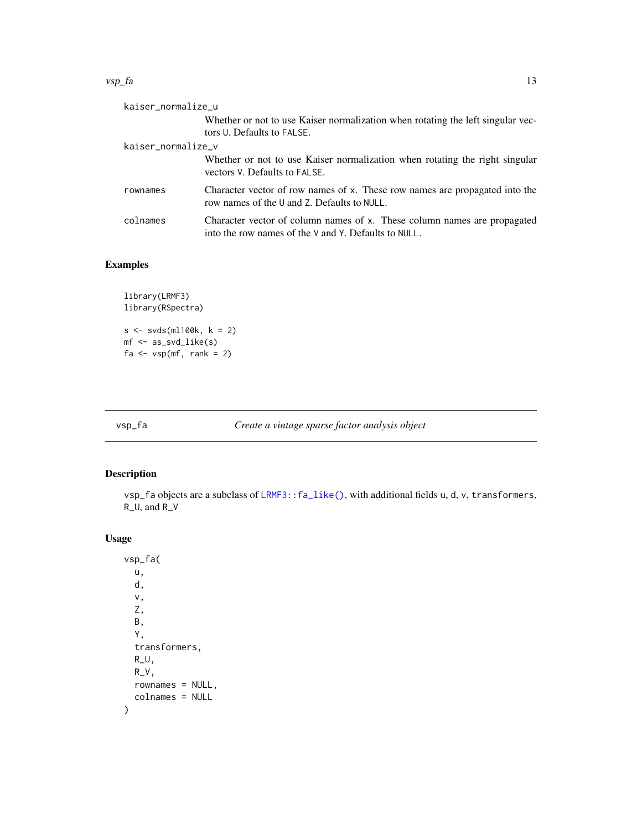#### <span id="page-12-0"></span> $\mathsf{vsp\_fa}$  13

| kaiser_normalize_u |                                                                                                                                  |
|--------------------|----------------------------------------------------------------------------------------------------------------------------------|
|                    | Whether or not to use Kaiser normalization when rotating the left singular vec-<br>tors U. Defaults to FALSE.                    |
| kaiser_normalize_v |                                                                                                                                  |
|                    | Whether or not to use Kaiser normalization when rotating the right singular<br>vectors V. Defaults to FALSE.                     |
| rownames           | Character vector of row names of x. These row names are propagated into the<br>row names of the U and Z. Defaults to NULL.       |
| colnames           | Character vector of column names of x. These column names are propagated<br>into the row names of the V and Y. Defaults to NULL. |

### Examples

```
library(LRMF3)
library(RSpectra)
s <- svds(ml100k, k = 2)
mf <- as_svd_like(s)
fa \leq - \text{vsp(mf, rank = 2)}
```
<span id="page-12-1"></span>

vsp\_fa *Create a vintage sparse factor analysis object*

### Description

vsp\_fa objects are a subclass of [LRMF3::fa\\_like\(\)](#page-0-0), with additional fields u, d, v, transformers, R\_U, and R\_V

### Usage

vsp\_fa( u, d, v, Z, B, Y, transformers, R\_U, R\_V, rownames = NULL, colnames = NULL )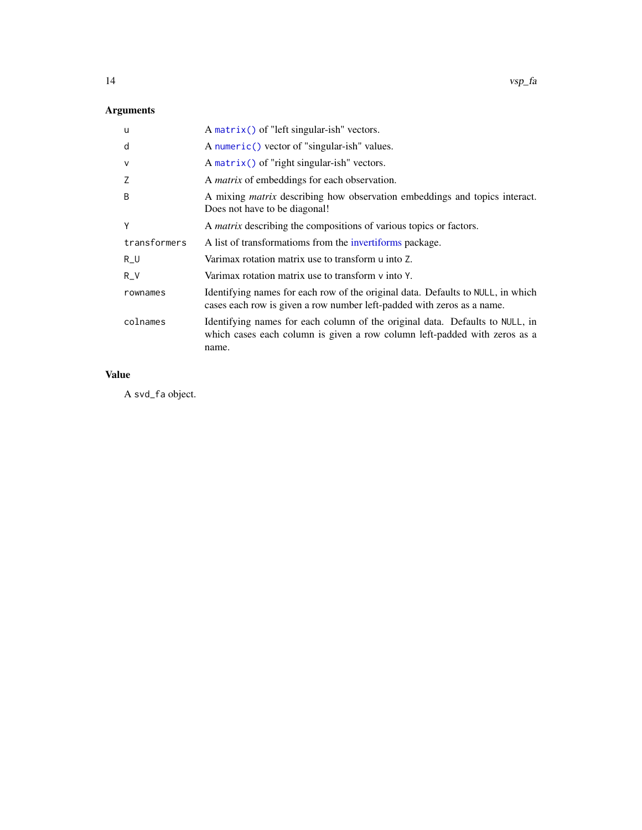### <span id="page-13-0"></span>Arguments

| u            | A matrix() of "left singular-ish" vectors.                                                                                                                         |
|--------------|--------------------------------------------------------------------------------------------------------------------------------------------------------------------|
| d            | A numeric() vector of "singular-ish" values.                                                                                                                       |
| V            | A matrix() of "right singular-ish" vectors.                                                                                                                        |
| Z            | A <i>matrix</i> of embeddings for each observation.                                                                                                                |
| B            | A mixing <i>matrix</i> describing how observation embeddings and topics interact.<br>Does not have to be diagonal!                                                 |
| Y            | A <i>matrix</i> describing the compositions of various topics or factors.                                                                                          |
| transformers | A list of transformatioms from the invertiforms package.                                                                                                           |
| $R_U$        | Varimax rotation matrix use to transform u into Z.                                                                                                                 |
| $R_V$        | Varimax rotation matrix use to transform $\nu$ into $\nu$ .                                                                                                        |
| rownames     | Identifying names for each row of the original data. Defaults to NULL, in which<br>cases each row is given a row number left-padded with zeros as a name.          |
| colnames     | Identifying names for each column of the original data. Defaults to NULL, in<br>which cases each column is given a row column left-padded with zeros as a<br>name. |

### Value

A svd\_fa object.